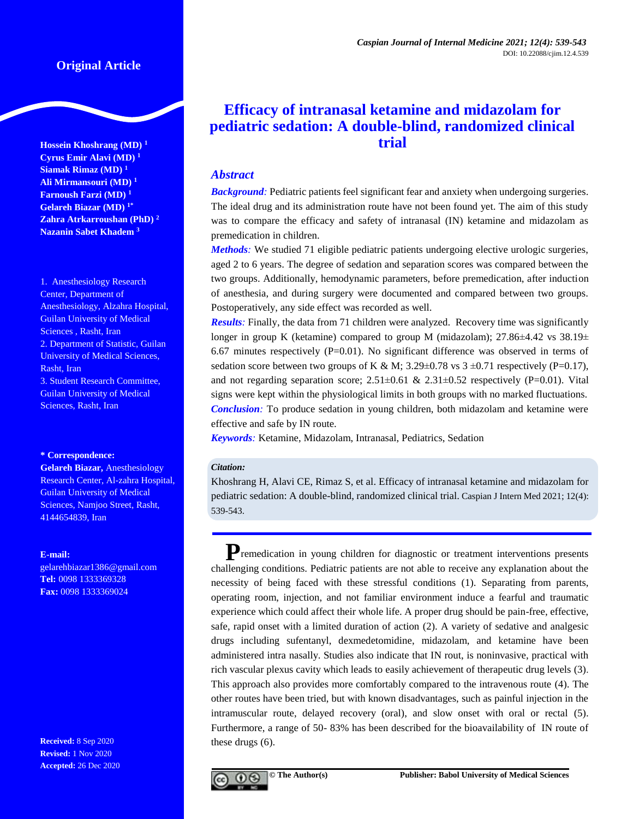# **Original Article**

**Hossein Khoshrang (MD) <sup>1</sup> Cyrus Emir Alavi (MD) <sup>1</sup> Siamak Rimaz (MD) <sup>1</sup> Ali Mirmansouri (MD) <sup>1</sup> Farnoush Farzi (MD) <sup>1</sup> Gelareh Biazar (MD) 1\* Zahra Atrkarroushan (PhD) <sup>2</sup> Nazanin Sabet Khadem <sup>3</sup>**

1. Anesthesiology Research Center, Department of Anesthesiology, Alzahra Hospital, Guilan University of Medical Sciences , Rasht, Iran 2. Department of Statistic, Guilan University of Medical Sciences, Rasht, Iran 3. Student Research Committee, Guilan University of Medical Sciences, Rasht, Iran

#### **\* Correspondence:**

**Gelareh Biazar,** Anesthesiology Research Center, Al-zahra Hospital, Guilan University of Medical Sciences, Namjoo Street, Rasht, 4144654839, Iran

#### **E-mail:**

[gelarehbiazar1386@gmail.com](mailto:gelarehbiazar1386@gmail.com) **Tel:** 0098 1333369328 **Fax:** 0098 1333369024

**Received:** 8 Sep 2020 **Revised:** 1 Nov 2020 **Accepted:** 26 Dec 2020

# **Efficacy of intranasal ketamine and midazolam for pediatric sedation: A double-blind, randomized clinical trial**

# *Abstract*

**Background**: Pediatric patients feel significant fear and anxiety when undergoing surgeries. The ideal drug and its administration route have not been found yet. The aim of this study was to compare the efficacy and safety of intranasal (IN) ketamine and midazolam as premedication in children.

*Methods:* We studied 71 eligible pediatric patients undergoing elective urologic surgeries, aged 2 to 6 years. The degree of sedation and separation scores was compared between the two groups. Additionally, hemodynamic parameters, before premedication, after induction of anesthesia, and during surgery were documented and compared between two groups. Postoperatively, any side effect was recorded as well.

*Results:* Finally, the data from 71 children were analyzed. Recovery time was significantly longer in group K (ketamine) compared to group M (midazolam);  $27.86\pm4.42$  vs  $38.19\pm$ 6.67 minutes respectively  $(P=0.01)$ . No significant difference was observed in terms of sedation score between two groups of K & M;  $3.29 \pm 0.78$  vs  $3 \pm 0.71$  respectively (P=0.17), and not regarding separation score;  $2.51 \pm 0.61$  &  $2.31 \pm 0.52$  respectively (P=0.01). Vital signs were kept within the physiological limits in both groups with no marked fluctuations. *Conclusion:* To produce sedation in young children, both midazolam and ketamine were effective and safe by IN route.

*Keywords:* Ketamine, Midazolam, Intranasal, Pediatrics, Sedation

## *Citation:*

Khoshrang H, Alavi CE, Rimaz S, et al. Efficacy of intranasal ketamine and midazolam for pediatric sedation: A double-blind, randomized clinical trial. Caspian J Intern Med 2021; 12(4): 539-543.

**P**remedication in young children for diagnostic or treatment interventions presents challenging conditions. Pediatric patients are not able to receive any explanation about the necessity of being faced with these stressful conditions [\(1\)](#page-3-0). Separating from parents, operating room, injection, and not familiar environment induce a fearful and traumatic experience which could affect their whole life. A proper drug should be pain-free, effective, safe, rapid onset with a limited duration of action [\(2\)](#page-3-1). A variety of sedative and analgesic drugs including sufentanyl, dexmedetomidine, midazolam, and ketamine have been administered intra nasally. Studies also indicate that IN rout, is noninvasive, practical with rich vascular plexus cavity which leads to easily achievement of therapeutic drug levels [\(3\)](#page-3-2). This approach also provides more comfortably compared to the intravenous route [\(4\)](#page-3-3). The other routes have been tried, but with known disadvantages, such as painful injection in the intramuscular route, delayed recovery (oral), and slow onset with oral or rectal [\(5\)](#page-3-4). Furthermore, a range of 50- 83% has been described for the bioavailability of IN route of these drugs [\(6\)](#page-3-5).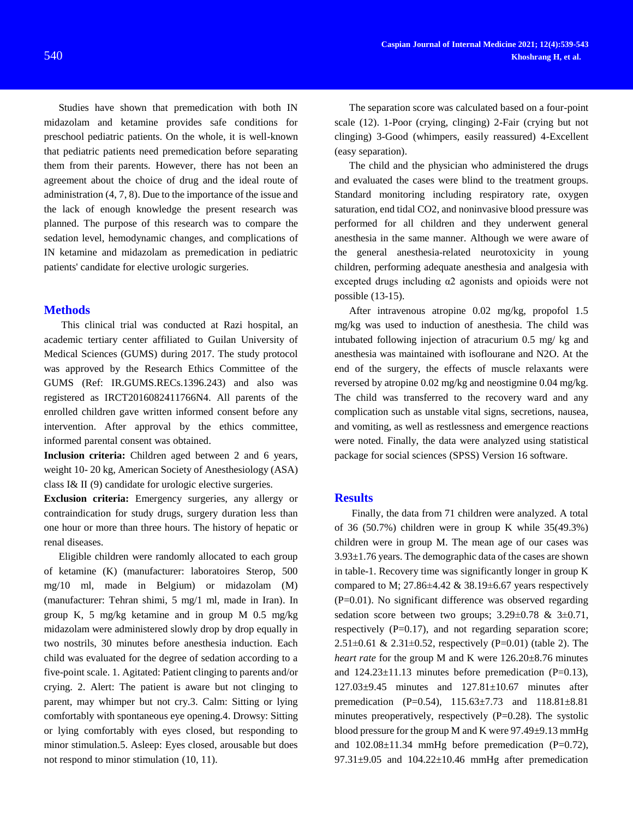Studies have shown that premedication with both IN midazolam and ketamine provides safe conditions for preschool pediatric patients. On the whole, it is well-known that pediatric patients need premedication before separating them from their parents. However, there has not been an agreement about the choice of drug and the ideal route of administration [\(4,](#page-3-3) [7,](#page-3-6) [8\)](#page-3-7). Due to the importance of the issue and the lack of enough knowledge the present research was planned. The purpose of this research was to compare the sedation level, hemodynamic changes, and complications of IN ketamine and midazolam as premedication in pediatric patients' candidate for elective urologic surgeries.

#### **Methods**

This clinical trial was conducted at Razi hospital, an academic tertiary center affiliated to Guilan University of Medical Sciences (GUMS) during 2017. The study protocol was approved by the Research Ethics Committee of the GUMS (Ref: IR.GUMS.RECs.1396.243) and also was registered as IRCT2016082411766N4. All parents of the enrolled children gave written informed consent before any intervention. After approval by the ethics committee, informed parental consent was obtained.

**Inclusion criteria:** Children aged between 2 and 6 years, weight 10- 20 kg, American Society of Anesthesiology (ASA) class I& II [\(9\)](#page-3-8) candidate for urologic elective surgeries.

**Exclusion criteria:** Emergency surgeries, any allergy or contraindication for study drugs, surgery duration less than one hour or more than three hours. The history of hepatic or renal diseases.

Eligible children were randomly allocated to each group of ketamine (K) (manufacturer: laboratoires Sterop, 500 mg/10 ml, made in Belgium) or midazolam (M) (manufacturer: Tehran shimi, 5 mg/1 ml, made in Iran). In group K, 5 mg/kg ketamine and in group M 0.5 mg/kg midazolam were administered slowly drop by drop equally in two nostrils, 30 minutes before anesthesia induction. Each child was evaluated for the degree of sedation according to a five-point scale. 1. Agitated: Patient clinging to parents and/or crying. 2. Alert: The patient is aware but not clinging to parent, may whimper but not cry.3. Calm: Sitting or lying comfortably with spontaneous eye opening.4. Drowsy: Sitting or lying comfortably with eyes closed, but responding to minor stimulation.5. Asleep: Eyes closed, arousable but does not respond to minor stimulation [\(10,](#page-3-9) [11\)](#page-3-10).

The separation score was calculated based on a four-point scale [\(12\)](#page-3-11). 1-Poor (crying, clinging) 2-Fair (crying but not clinging) 3-Good (whimpers, easily reassured) 4-Excellent (easy separation).

The child and the physician who administered the drugs and evaluated the cases were blind to the treatment groups. Standard monitoring including respiratory rate, oxygen saturation, end tidal CO2, and noninvasive blood pressure was performed for all children and they underwent general anesthesia in the same manner. Although we were aware of the general anesthesia-related neurotoxicity in young children, performing adequate anesthesia and analgesia with excepted drugs including α2 agonists and opioids were not possible [\(13-15\)](#page-3-12).

After intravenous atropine 0.02 mg/kg, propofol 1.5 mg/kg was used to induction of anesthesia. The child was intubated following injection of atracurium 0.5 mg/ kg and anesthesia was maintained with isoflourane and N2O. At the end of the surgery, the effects of muscle relaxants were reversed by atropine 0.02 mg/kg and neostigmine 0.04 mg/kg. The child was transferred to the recovery ward and any complication such as unstable vital signs, secretions, nausea, and vomiting, as well as restlessness and emergence reactions were noted. Finally, the data were analyzed using statistical package for social sciences (SPSS) Version 16 software.

#### **Results**

Finally, the data from 71 children were analyzed. A total of 36 (50.7%) children were in group K while 35(49.3%) children were in group M. The mean age of our cases was 3.93±1.76 years. The demographic data of the cases are shown in table-1. Recovery time was significantly longer in group K compared to M;  $27.86\pm4.42 \& 38.19\pm6.67$  years respectively (P=0.01). No significant difference was observed regarding sedation score between two groups;  $3.29 \pm 0.78$  &  $3 \pm 0.71$ , respectively  $(P=0.17)$ , and not regarding separation score; 2.51 $\pm$ 0.61 & 2.31 $\pm$ 0.52, respectively (P=0.01) (table 2). The *heart rate* for the group M and K were 126.20±8.76 minutes and  $124.23 \pm 11.13$  minutes before premedication (P=0.13), 127.03±9.45 minutes and 127.81±10.67 minutes after premedication (P=0.54), 115.63±7.73 and 118.81±8.81 minutes preoperatively, respectively (P=0.28). The systolic blood pressure for the group M and K were 97.49±9.13 mmHg and  $102.08 \pm 11.34$  mmHg before premedication (P=0.72),  $97.31\pm9.05$  and  $104.22\pm10.46$  mmHg after premedication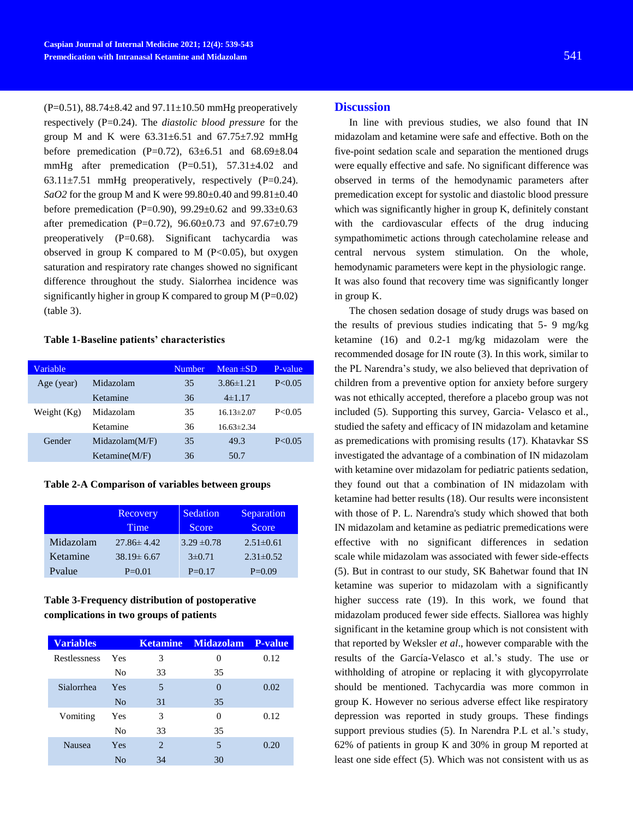$(P=0.51)$ , 88.74 $\pm$ 8.42 and 97.11 $\pm$ 10.50 mmHg preoperatively respectively (P=0.24). The *diastolic blood pressure* for the group M and K were  $63.31 \pm 6.51$  and  $67.75 \pm 7.92$  mmHg before premedication (P=0.72),  $63\pm6.51$  and  $68.69\pm8.04$ mmHg after premedication (P=0.51), 57.31±4.02 and 63.11 $\pm$ 7.51 mmHg preoperatively, respectively (P=0.24). *SaO2* for the group M and K were 99.80±0.40 and 99.81±0.40 before premedication (P=0.90), 99.29±0.62 and 99.33±0.63 after premedication (P=0.72),  $96.60 \pm 0.73$  and  $97.67 \pm 0.79$ preoperatively (P=0.68). Significant tachycardia was observed in group K compared to M  $(P<0.05)$ , but oxygen saturation and respiratory rate changes showed no significant difference throughout the study. Sialorrhea incidence was significantly higher in group K compared to group  $M (P=0.02)$ (table 3).

#### **Table 1-Baseline patients' characteristics**

| Variable      |                  | <b>Number</b> | $Mean \pm SD$    | P-value  |
|---------------|------------------|---------------|------------------|----------|
| Age (year)    | Midazolam        | 35            | $3.86\pm1.21$    | P < 0.05 |
|               | Ketamine         | 36            | $4\pm1.17$       |          |
| Weight $(Kg)$ | Midazolam        | 35            | $16.13 \pm 2.07$ | P < 0.05 |
|               | Ketamine         | 36            | $16.63\pm2.34$   |          |
| Gender        | Midazolam(M/F)   | 35            | 49.3             | P < 0.05 |
|               | Ketamine $(M/F)$ | 36            | 50.7             |          |
|               |                  |               |                  |          |

**Table 2-A Comparison of variables between groups**

|           | Recovery<br>Time | Sedation<br>Score | Separation<br><b>Score</b> |
|-----------|------------------|-------------------|----------------------------|
| Midazolam | $27.86 \pm 4.42$ | $3.29 \pm 0.78$   | $2.51 \pm 0.61$            |
| Ketamine  | $38.19 \pm 6.67$ | $3\pm 0.71$       | $2.31 \pm 0.52$            |
| Pvalue    | $P=0.01$         | $P=0.17$          | $P=0.09$                   |

# **Table 3-Frequency distribution of postoperative complications in two groups of patients**

| <b>Variables</b> |                |    | Ketamine Midazolam P-value |      |
|------------------|----------------|----|----------------------------|------|
| Restlessness     | Yes            | 3  | 0                          | 0.12 |
|                  | N <sub>0</sub> | 33 | 35                         |      |
| Sialorrhea       | Yes            | 5  |                            | 0.02 |
|                  | N <sub>0</sub> | 31 | 35                         |      |
| Vomiting         | Yes            | 3  | 0                          | 0.12 |
|                  | N <sub>0</sub> | 33 | 35                         |      |
| <b>Nausea</b>    | Yes            | 2  | $\overline{\phantom{1}}$   | 0.20 |
|                  | No             | 34 | 30                         |      |

## **Discussion**

In line with previous studies, we also found that IN midazolam and ketamine were safe and effective. Both on the five-point sedation scale and separation the mentioned drugs were equally effective and safe. No significant difference was observed in terms of the hemodynamic parameters after premedication except for systolic and diastolic blood pressure which was significantly higher in group K, definitely constant with the cardiovascular effects of the drug inducing sympathomimetic actions through catecholamine release and central nervous system stimulation. On the whole, hemodynamic parameters were kept in the physiologic range. It was also found that recovery time was significantly longer in group K.

The chosen sedation dosage of study drugs was based on the results of previous studies indicating that 5- 9 mg/kg ketamine [\(16\)](#page-4-0) and 0.2-1 mg/kg midazolam were the recommended dosage for IN route [\(3\)](#page-3-2). In this work, similar to the PL Narendra's study, we also believed that deprivation of children from a preventive option for anxiety before surgery was not ethically accepted, therefore a placebo group was not included [\(5\)](#page-3-4). Supporting this survey, Garcia- Velasco et al., studied the safety and efficacy of IN midazolam and ketamine as premedications with promising results [\(17\)](#page-4-1). Khatavkar SS investigated the advantage of a combination of IN midazolam with ketamine over midazolam for pediatric patients sedation, they found out that a combination of IN midazolam with ketamine had better results [\(18\)](#page-4-2). Our results were inconsistent with those of P. L. Narendra's study which showed that both IN midazolam and ketamine as pediatric premedications were effective with no significant differences in sedation scale while midazolam was associated with fewer side-effects [\(5\)](#page-3-4). But in contrast to our study, SK Bahetwar found that IN ketamine was superior to midazolam with a significantly higher success rate [\(19\)](#page-4-3). In this work, we found that midazolam produced fewer side effects. Siallorea was highly significant in the ketamine group which is not consistent with that reported by Weksler *et al*., however comparable with the results of the García-Velasco et al.'s study. The use or withholding of atropine or replacing it with glycopyrrolate should be mentioned. Tachycardia was more common in group K. However no serious adverse effect like respiratory depression was reported in study groups. These findings support previous studies [\(5\)](#page-3-4). In Narendra P.L et al.'s study, 62% of patients in group K and 30% in group M reported at least one side effect [\(5\)](#page-3-4). Which was not consistent with us as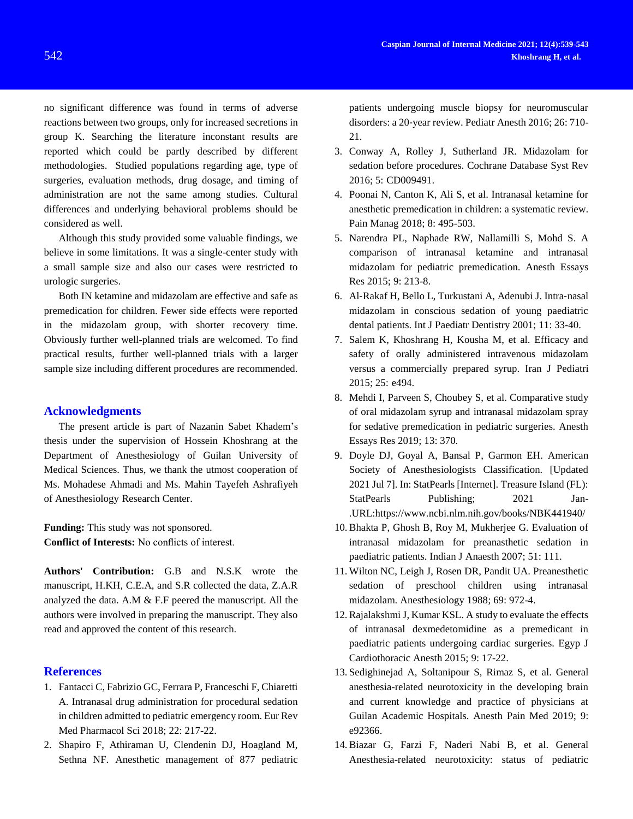no significant difference was found in terms of adverse reactions between two groups, only for increased secretions in group K. Searching the literature inconstant results are reported which could be partly described by different methodologies. Studied populations regarding age, type of surgeries, evaluation methods, drug dosage, and timing of administration are not the same among studies. Cultural differences and underlying behavioral problems should be considered as well.

Although this study provided some valuable findings, we believe in some limitations. It was a single-center study with a small sample size and also our cases were restricted to urologic surgeries.

Both IN ketamine and midazolam are effective and safe as premedication for children. Fewer side effects were reported in the midazolam group, with shorter recovery time. Obviously further well-planned trials are welcomed. To find practical results, further well-planned trials with a larger sample size including different procedures are recommended.

### **Acknowledgments**

The present article is part of Nazanin Sabet Khadem's thesis under the supervision of Hossein Khoshrang at the Department of Anesthesiology of Guilan University of Medical Sciences. Thus, we thank the utmost cooperation of Ms. Mohadese Ahmadi and Ms. Mahin Tayefeh Ashrafiyeh of Anesthesiology Research Center.

**Funding:** This study was not sponsored. **Conflict of Interests:** No conflicts of interest.

**Authors' Contribution:** G.B and N.S.K wrote the manuscript, H.KH, C.E.A, and S.R collected the data, Z.A.R analyzed the data. A.M & F.F peered the manuscript. All the authors were involved in preparing the manuscript. They also read and approved the content of this research.

## **References**

- <span id="page-3-0"></span>1. Fantacci C, Fabrizio GC, Ferrara P, Franceschi F, Chiaretti A. Intranasal drug administration for procedural sedation in children admitted to pediatric emergency room. Eur Rev Med Pharmacol Sci 2018; 22: 217-22.
- <span id="page-3-1"></span>2. Shapiro F, Athiraman U, Clendenin DJ, Hoagland M, Sethna NF. Anesthetic management of 877 pediatric

patients undergoing muscle biopsy for neuromuscular disorders: a 20‐year review. Pediatr Anesth 2016; 26: 710- 21.

- <span id="page-3-2"></span>3. Conway A, Rolley J, Sutherland JR. Midazolam for sedation before procedures. Cochrane Database Syst Rev 2016; 5: CD009491.
- <span id="page-3-3"></span>4. Poonai N, Canton K, Ali S, et al. Intranasal ketamine for anesthetic premedication in children: a systematic review. Pain Manag 2018; 8: 495-503.
- <span id="page-3-4"></span>5. Narendra PL, Naphade RW, Nallamilli S, Mohd S. A comparison of intranasal ketamine and intranasal midazolam for pediatric premedication. Anesth Essays Res 2015; 9: 213-8.
- <span id="page-3-5"></span>6. Al‐Rakaf H, Bello L, Turkustani A, Adenubi J. Intra‐nasal midazolam in conscious sedation of young paediatric dental patients. Int J Paediatr Dentistry 2001; 11: 33-40.
- <span id="page-3-6"></span>7. Salem K, Khoshrang H, Kousha M, et al. Efficacy and safety of orally administered intravenous midazolam versus a commercially prepared syrup. Iran J Pediatri 2015; 25: e494.
- <span id="page-3-7"></span>8. Mehdi I, Parveen S, Choubey S, et al. Comparative study of oral midazolam syrup and intranasal midazolam spray for sedative premedication in pediatric surgeries. Anesth Essays Res 2019; 13: 370.
- <span id="page-3-8"></span>9. Doyle DJ, Goyal A, Bansal P, Garmon EH. American Society of Anesthesiologists Classification. [Updated 2021 Jul 7]. In: StatPearls [Internet]. Treasure Island (FL): StatPearls Publishing; 2021 Jan-.URL:https://www.ncbi.nlm.nih.gov/books/NBK441940/
- <span id="page-3-9"></span>10. Bhakta P, Ghosh B, Roy M, Mukherjee G. Evaluation of intranasal midazolam for preanasthetic sedation in paediatric patients. Indian J Anaesth 2007; 51: 111.
- <span id="page-3-10"></span>11. Wilton NC, Leigh J, Rosen DR, Pandit UA. Preanesthetic sedation of preschool children using intranasal midazolam. Anesthesiology 1988; 69: 972-4.
- <span id="page-3-11"></span>12. Rajalakshmi J, Kumar KSL. A study to evaluate the effects of intranasal dexmedetomidine as a premedicant in paediatric patients undergoing cardiac surgeries. Egyp J Cardiothoracic Anesth 2015; 9: 17-22.
- <span id="page-3-12"></span>13. Sedighinejad A, Soltanipour S, Rimaz S, et al. General anesthesia-related neurotoxicity in the developing brain and current knowledge and practice of physicians at Guilan Academic Hospitals. Anesth Pain Med 2019; 9: e92366.
- 14. Biazar G, Farzi F, Naderi Nabi B, et al. General Anesthesia-related neurotoxicity: status of pediatric